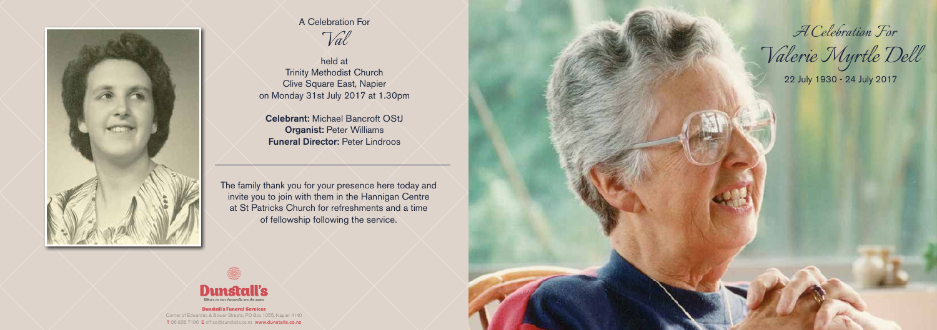#### Dunstall's Funeral Services

Corner of Edwardes & Bower Streets, PO Box 1055, Napier 4140 T 06 835 7196 E office@dunstalls.co.nz www.dunstalls.co.nz



*A Celebration For*

*Valerie Myrtle Dell*



# A Celebration For *Val*

held at Trinity Methodist Church Clive Square East, Napier on Monday 31st July 2017 at 1.30pm

Celebrant: Michael Bancroft OStJ Organist: Peter Williams Funeral Director: Peter Lindroos

22 July 1930 - 24 July 2017

The family thank you for your presence here today and invite you to join with them in the Hannigan Centre at St Patricks Church for refreshments and a time of fellowship following the service.